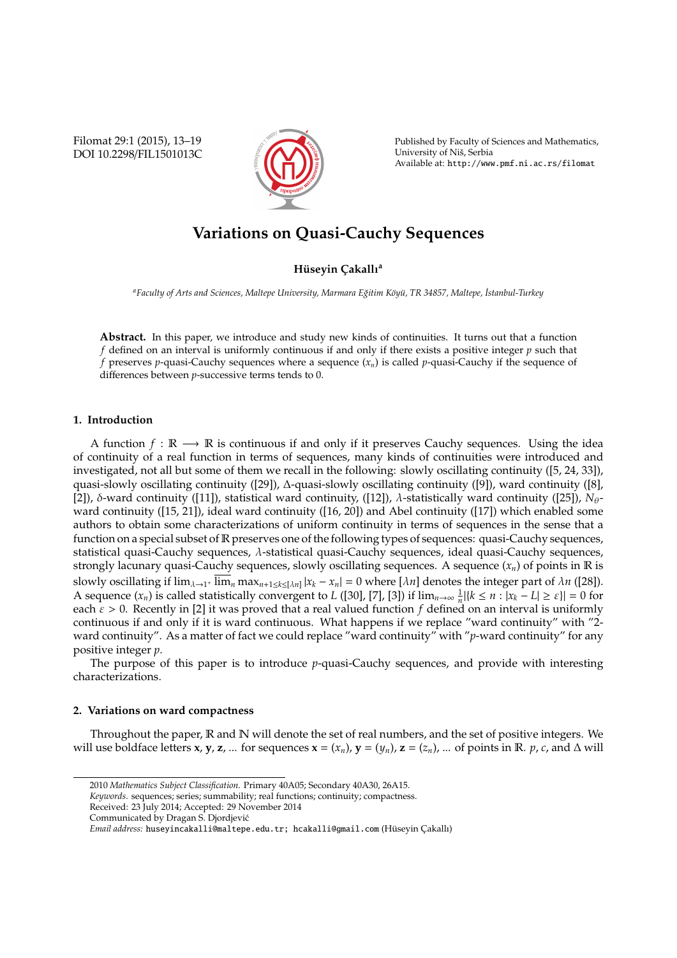Filomat 29:1 (2015), 13–19 DOI 10.2298/FIL1501013C



Published by Faculty of Sciences and Mathematics, University of Niš, Serbia Available at: http://www.pmf.ni.ac.rs/filomat

# **Variations on Quasi-Cauchy Sequences**

# **Hüseyin Cakallı<sup>a</sup>**

*<sup>a</sup>Faculty of Arts and Sciences, Maltepe University, Marmara E˘gitim K¨oy ¨u, TR 34857, Maltepe, ˙Istanbul-Turkey*

**Abstract.** In this paper, we introduce and study new kinds of continuities. It turns out that a function *f* defined on an interval is uniformly continuous if and only if there exists a positive integer *p* such that *f* preserves *p*-quasi-Cauchy sequences where a sequence (*xn*) is called *p*-quasi-Cauchy if the sequence of differences between *p*-successive terms tends to 0.

# **1. Introduction**

A function  $f : \mathbb{R} \longrightarrow \mathbb{R}$  is continuous if and only if it preserves Cauchy sequences. Using the idea of continuity of a real function in terms of sequences, many kinds of continuities were introduced and investigated, not all but some of them we recall in the following: slowly oscillating continuity ([5, 24, 33]), quasi-slowly oscillating continuity ([29]), ∆-quasi-slowly oscillating continuity ([9]), ward continuity ([8], [2]), δ-ward continuity ([11]), statistical ward continuity, ([12]),  $λ$ -statistically ward continuity ([25]),  $N_{\theta}$ ward continuity ([15, 21]), ideal ward continuity ([16, 20]) and Abel continuity ([17]) which enabled some authors to obtain some characterizations of uniform continuity in terms of sequences in the sense that a function on a special subset of R preserves one of the following types of sequences: quasi-Cauchy sequences, statistical quasi-Cauchy sequences, λ-statistical quasi-Cauchy sequences, ideal quasi-Cauchy sequences, strongly lacunary quasi-Cauchy sequences, slowly oscillating sequences. A sequence (*xn*) of points in R is slowly oscillating if  $\lim_{\lambda\to 1^+}\overline{\lim}_n \max_{n+1\le k\le [\lambda n]} |x_k - x_n| = 0$  where  $[\lambda n]$  denotes the integer part of  $\lambda n$  ([28]). A sequence  $(x_n)$  is called statistically convergent to *L* ([30], [7], [3]) if  $\lim_{n\to\infty} \frac{1}{n} |{k \le n : |x_k - L| \ge \varepsilon}| = 0$  for each  $\varepsilon > 0$ . Recently in [2] it was proved that a real valued function f defined on an interval is uniformly continuous if and only if it is ward continuous. What happens if we replace "ward continuity" with "2 ward continuity". As a matter of fact we could replace "ward continuity" with "*p*-ward continuity" for any positive integer *p*.

The purpose of this paper is to introduce *p*-quasi-Cauchy sequences, and provide with interesting characterizations.

## **2. Variations on ward compactness**

Throughout the paper,  $\mathbb R$  and  $\mathbb N$  will denote the set of real numbers, and the set of positive integers. We will use boldface letters **x**, **y**, **z**, ... for sequences **x** =  $(x_n)$ , **y** =  $(y_n)$ , **z** =  $(z_n)$ , ... of points in R. *p*, *c*, and  $\Delta$  will

<sup>2010</sup> *Mathematics Subject Classification*. Primary 40A05; Secondary 40A30, 26A15.

*Keywords*. sequences; series; summability; real functions; continuity; compactness.

Received: 23 July 2014; Accepted: 29 November 2014

Communicated by Dragan S. Djordjevic´

*Email address:* huseyincakalli@maltepe.edu.tr; hcakalli@gmail.com (Hüseyin Çakallı)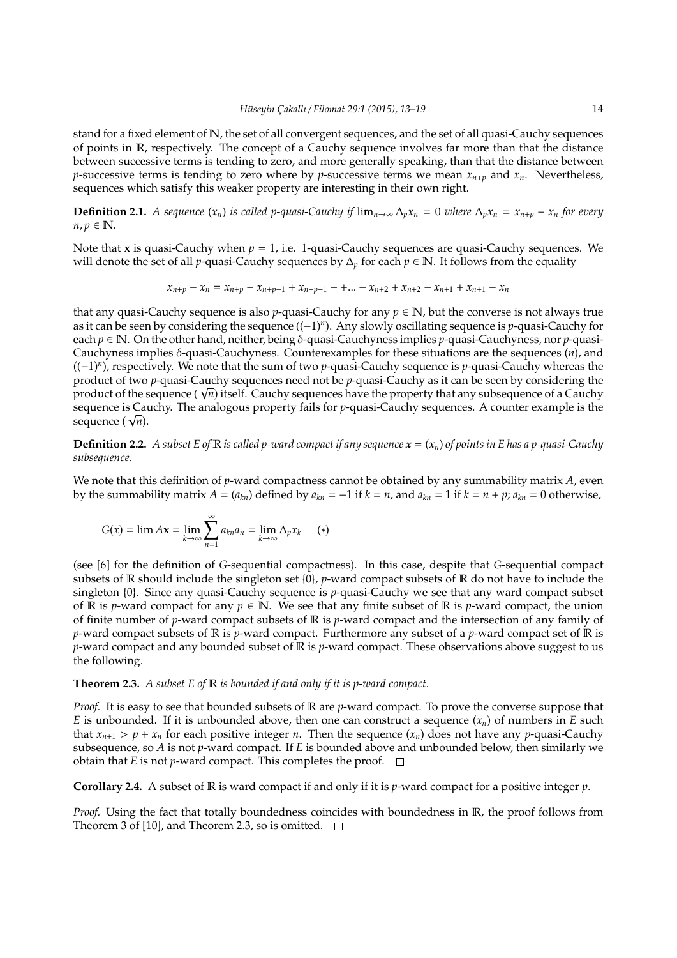stand for a fixed element of N, the set of all convergent sequences, and the set of all quasi-Cauchy sequences of points in R, respectively. The concept of a Cauchy sequence involves far more than that the distance between successive terms is tending to zero, and more generally speaking, than that the distance between *p*-successive terms is tending to zero where by *p*-successive terms we mean  $x_{n+n}$  and  $x_n$ . Nevertheless, sequences which satisfy this weaker property are interesting in their own right.

**Definition 2.1.** A sequence  $(x_n)$  is called p-quasi-Cauchy if  $\lim_{n\to\infty} \Delta_n x_n = 0$  where  $\Delta_n x_n = x_{n+p} - x_n$  for every  $n, p \in \mathbb{N}$ .

Note that **x** is quasi-Cauchy when  $p = 1$ , i.e. 1-quasi-Cauchy sequences are quasi-Cauchy sequences. We will denote the set of all *p*-quasi-Cauchy sequences by ∆*<sup>p</sup>* for each *p* ∈ N. It follows from the equality

$$
x_{n+p} - x_n = x_{n+p} - x_{n+p-1} + x_{n+p-1} - \dots - x_{n+2} + x_{n+2} - x_{n+1} + x_{n+1} - x_n
$$

that any quasi-Cauchy sequence is also *p*-quasi-Cauchy for any  $p \in \mathbb{N}$ , but the converse is not always true as it can be seen by considering the sequence ((−1)*<sup>n</sup>* ). Any slowly oscillating sequence is *p*-quasi-Cauchy for each *p* ∈ N. On the other hand, neither, being δ-quasi-Cauchyness implies *p*-quasi-Cauchyness, nor *p*-quasi-Cauchyness implies δ-quasi-Cauchyness. Counterexamples for these situations are the sequences (*n*), and ((−1)*<sup>n</sup>* ), respectively. We note that the sum of two *p*-quasi-Cauchy sequence is *p*-quasi-Cauchy whereas the product of two *p*-quasi-Cauchy sequences need not be *p*-quasi-Cauchy as it can be seen by considering the product of two p-quasi-Cauchy sequences need not be p-quasi-Cauchy as it can be seen by considering the<br>product of the sequence ( √*n*) itself. Cauchy sequences have the property that any subsequence of a Cauchy sequence is Cauchy. The analogous property fails for *p*-quasi-Cauchy sequences. A counter example is the sequence is Cai<br>sequence ( √*n*).

**Definition 2.2.** A subset E of  $\mathbb R$  is called p-ward compact if any sequence  $x = (x_n)$  of points in E has a p-quasi-Cauchy *subsequence.*

We note that this definition of *p*-ward compactness cannot be obtained by any summability matrix *A*, even by the summability matrix  $A = (a_{kn})$  defined by  $a_{kn} = -1$  if  $k = n$ , and  $a_{kn} = 1$  if  $k = n + p$ ;  $a_{kn} = 0$  otherwise,

$$
G(x) = \lim Ax = \lim_{k \to \infty} \sum_{n=1}^{\infty} a_{kn} a_n = \lim_{k \to \infty} \Delta_p x_k \qquad (*)
$$

(see [6] for the definition of *G*-sequential compactness). In this case, despite that *G*-sequential compact subsets of R should include the singleton set {0}, *p*-ward compact subsets of R do not have to include the singleton {0}. Since any quasi-Cauchy sequence is *p*-quasi-Cauchy we see that any ward compact subset of R is *p*-ward compact for any  $p \in \mathbb{N}$ . We see that any finite subset of R is *p*-ward compact, the union of finite number of *p*-ward compact subsets of R is *p*-ward compact and the intersection of any family of *p*-ward compact subsets of R is *p*-ward compact. Furthermore any subset of a *p*-ward compact set of R is *p*-ward compact and any bounded subset of R is *p*-ward compact. These observations above suggest to us the following.

## **Theorem 2.3.** *A subset E of* R *is bounded if and only if it is p-ward compact.*

*Proof.* It is easy to see that bounded subsets of R are *p*-ward compact. To prove the converse suppose that *E* is unbounded. If it is unbounded above, then one can construct a sequence  $(x_n)$  of numbers in *E* such that  $x_{n+1} > p + x_n$  for each positive integer *n*. Then the sequence  $(x_n)$  does not have any *p*-quasi-Cauchy subsequence, so *A* is not *p*-ward compact. If *E* is bounded above and unbounded below, then similarly we obtain that *E* is not *p*-ward compact. This completes the proof.  $\Box$ 

**Corollary 2.4.** A subset of R is ward compact if and only if it is *p*-ward compact for a positive integer *p*.

*Proof.* Using the fact that totally boundedness coincides with boundedness in R, the proof follows from Theorem 3 of [10], and Theorem 2.3, so is omitted.  $\square$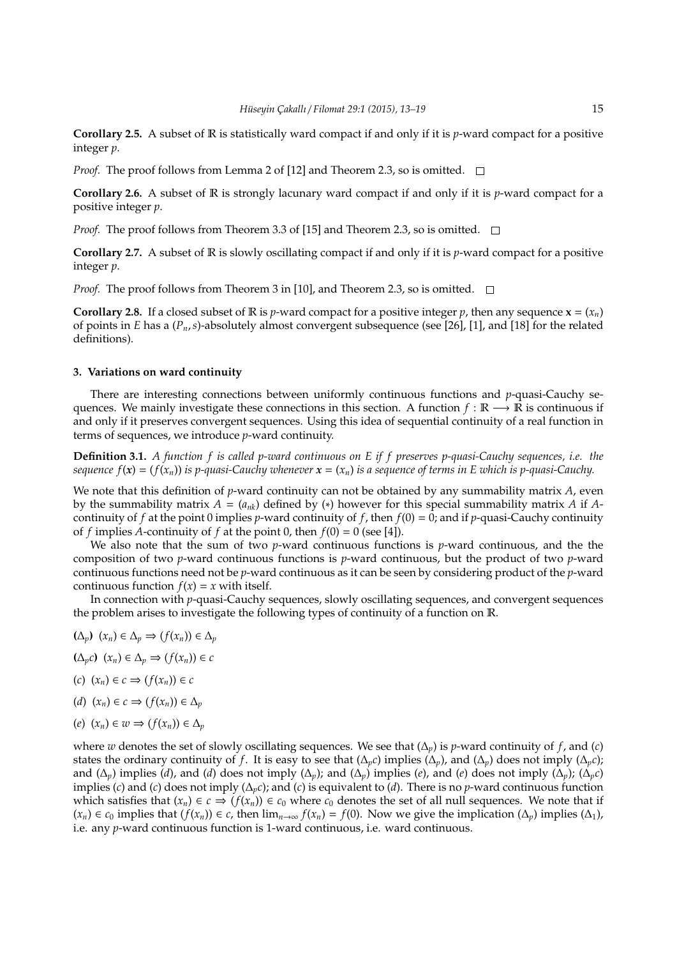**Corollary 2.5.** A subset of R is statistically ward compact if and only if it is *p*-ward compact for a positive integer *p*.

*Proof.* The proof follows from Lemma 2 of [12] and Theorem 2.3, so is omitted.  $\square$ 

**Corollary 2.6.** A subset of R is strongly lacunary ward compact if and only if it is *p*-ward compact for a positive integer *p*.

*Proof.* The proof follows from Theorem 3.3 of [15] and Theorem 2.3, so is omitted.  $\square$ 

**Corollary 2.7.** A subset of R is slowly oscillating compact if and only if it is *p*-ward compact for a positive integer *p*.

*Proof.* The proof follows from Theorem 3 in [10], and Theorem 2.3, so is omitted.  $\square$ 

**Corollary 2.8.** If a closed subset of R is *p*-ward compact for a positive integer *p*, then any sequence  $\mathbf{x} = (x_n)$ of points in *E* has a (*Pn*,*s*)-absolutely almost convergent subsequence (see [26], [1], and [18] for the related definitions).

# **3. Variations on ward continuity**

There are interesting connections between uniformly continuous functions and *p*-quasi-Cauchy sequences. We mainly investigate these connections in this section. A function  $f : \mathbb{R} \longrightarrow \mathbb{R}$  is continuous if and only if it preserves convergent sequences. Using this idea of sequential continuity of a real function in terms of sequences, we introduce *p*-ward continuity.

**Definition 3.1.** *A function f is called p-ward continuous on E if f preserves p-quasi-Cauchy sequences, i.e. the sequence*  $f(x) = (f(x_n))$  *is p-quasi-Cauchy whenever*  $x = (x_n)$  *is a sequence of terms in E which is p-quasi-Cauchy.* 

We note that this definition of *p*-ward continuity can not be obtained by any summability matrix *A*, even by the summability matrix  $A = (a_{nk})$  defined by (\*) however for this special summability matrix A if Acontinuity of *f* at the point 0 implies *p*-ward continuity of *f*, then  $f(0) = 0$ ; and if *p*-quasi-Cauchy continuity of *f* implies *A*-continuity of *f* at the point 0, then  $f(0) = 0$  (see [4]).

We also note that the sum of two *p*-ward continuous functions is *p*-ward continuous, and the the composition of two *p*-ward continuous functions is *p*-ward continuous, but the product of two *p*-ward continuous functions need not be *p*-ward continuous as it can be seen by considering product of the *p*-ward continuous function  $f(x) = x$  with itself.

In connection with *p*-quasi-Cauchy sequences, slowly oscillating sequences, and convergent sequences the problem arises to investigate the following types of continuity of a function on R.

**(**∆*p***)** (*xn*) ∈ ∆*<sup>p</sup>* ⇒ (*f*(*xn*)) ∈ ∆*<sup>p</sup>*

**(**∆*pc***)** (*xn*) ∈ ∆*<sup>p</sup>* ⇒ (*f*(*xn*)) ∈ *c*

- (*c*) (*xn*) ∈ *c* ⇒ (*f*(*xn*)) ∈ *c*
- (*d*)  $(x_n) \in c \implies (f(x_n)) \in \Delta_p$

$$
(e) (x_n) \in w \Rightarrow (f(x_n)) \in \Delta_p
$$

where *w* denotes the set of slowly oscillating sequences. We see that  $(\Delta_p)$  is *p*-ward continuity of *f*, and (*c*) states the ordinary continuity of *f*. It is easy to see that  $(\Delta_p c)$  implies  $(\Delta_p)$ , and  $(\Delta_p)$  does not imply  $(\Delta_p c)$ ; and  $(\Delta_p)$  implies (*d*), and (*d*) does not imply  $(\Delta_p)$ ; and  $(\Delta_p)$  implies (*e*), and (*e*) does not imply  $(\Delta_p)$ ;  $(\Delta_p c)$ implies (*c*) and (*c*) does not imply (∆*pc*); and (*c*) is equivalent to (*d*). There is no *p*-ward continuous function which satisfies that  $(x_n) \in c \Rightarrow (f(x_n)) \in c_0$  where  $c_0$  denotes the set of all null sequences. We note that if  $(x_n) \in c_0$  implies that  $(f(x_n)) \in c$ , then  $\lim_{n\to\infty} f(x_n) = f(0)$ . Now we give the implication  $(\Delta_p)$  implies  $(\Delta_1)$ , i.e. any *p*-ward continuous function is 1-ward continuous, i.e. ward continuous.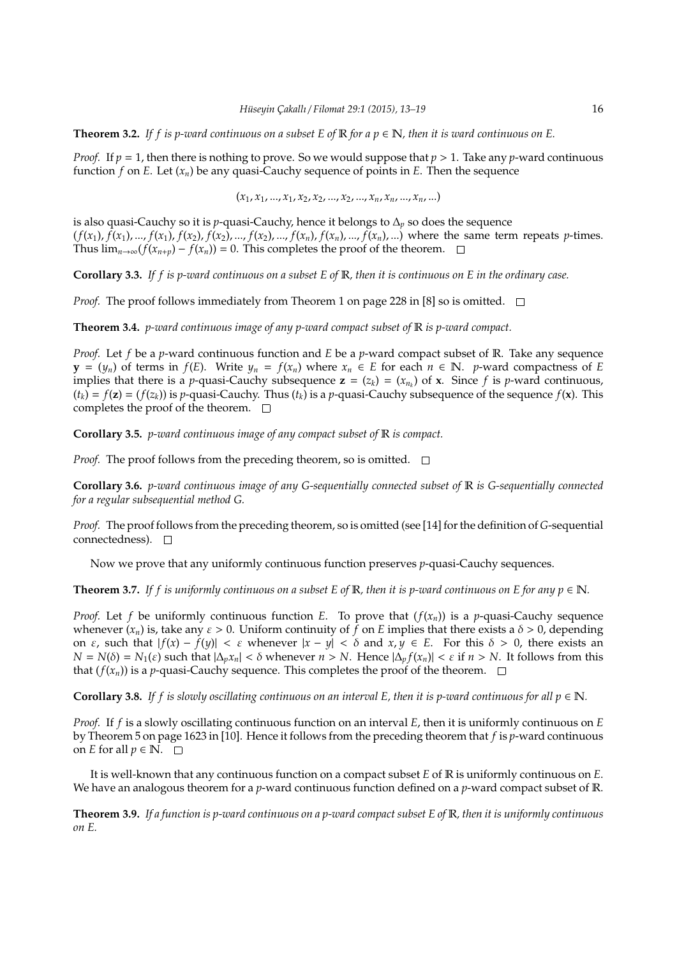**Theorem 3.2.** If f is p-ward continuous on a subset E of  $\mathbb{R}$  for a  $p \in \mathbb{N}$ , then it is ward continuous on E.

*Proof.* If  $p = 1$ , then there is nothing to prove. So we would suppose that  $p > 1$ . Take any *p*-ward continuous function *f* on *E*. Let  $(x_n)$  be any quasi-Cauchy sequence of points in *E*. Then the sequence

(*x*1, *x*1, ..., *x*1, *x*2, *x*2, ..., *x*2, ..., *xn*, *xn*, ..., *xn*, ...)

is also quasi-Cauchy so it is *p*-quasi-Cauchy, hence it belongs to  $\Delta_p$  so does the sequence  $(f(x_1), f(x_1), ..., f(x_n), f(x_2), f(x_2), ..., f(x_n), ..., f(x_n), f(x_n), ..., f(x_n), ...)$  where the same term repeats p-times. Thus  $\lim_{n\to\infty} (f(x_{n+p}) - f(x_n)) = 0$ . This completes the proof of the theorem.  $\square$ 

**Corollary 3.3.** *If f is p-ward continuous on a subset E of* R*, then it is continuous on E in the ordinary case.*

*Proof.* The proof follows immediately from Theorem 1 on page 228 in [8] so is omitted.  $\square$ 

**Theorem 3.4.** *p-ward continuous image of any p-ward compact subset of* R *is p-ward compact.*

*Proof.* Let *f* be a *p*-ward continuous function and *E* be a *p*-ward compact subset of R. Take any sequence **y** =  $(y_n)$  of terms in  $f(E)$ . Write  $y_n = f(x_n)$  where  $x_n \in E$  for each  $n \in \mathbb{N}$ . *p*-ward compactness of *E* implies that there is a *p*-quasi-Cauchy subsequence  $z = (z_k) = (x_{n_k})$  of  $x$ . Since  $f$  is *p*-ward continuous,  $(t_k) = f(z) = (f(z_k))$  is *p*-quasi-Cauchy. Thus  $(t_k)$  is a *p*-quasi-Cauchy subsequence of the sequence  $f(x)$ . This completes the proof of the theorem.  $\square$ 

**Corollary 3.5.** *p-ward continuous image of any compact subset of* R *is compact.*

*Proof.* The proof follows from the preceding theorem, so is omitted.  $\square$ 

**Corollary 3.6.** *p-ward continuous image of any G-sequentially connected subset of* R *is G-sequentially connected for a regular subsequential method G.*

*Proof.* The proof follows from the preceding theorem, so is omitted (see [14] for the definition of *G*-sequential connectedness).

Now we prove that any uniformly continuous function preserves *p*-quasi-Cauchy sequences.

**Theorem 3.7.** If f is uniformly continuous on a subset E of R, then it is p-ward continuous on E for any  $p \in \mathbb{N}$ .

*Proof.* Let *f* be uniformly continuous function *E*. To prove that  $(f(x_n))$  is a *p*-quasi-Cauchy sequence whenever  $(x_n)$  is, take any  $\varepsilon > 0$ . Uniform continuity of f on *E* implies that there exists a  $\delta > 0$ , depending on  $\varepsilon$ , such that  $|f(x) - f(y)| < \varepsilon$  whenever  $|x - y| < \delta$  and  $x, y \in E$ . For this  $\delta > 0$ , there exists an *N* = *N*(δ) = *N*<sub>1</sub>(ε) such that  $|Δ<sub>p</sub>x<sub>n</sub>| < δ$  whenever *n* > *N*. Hence  $|Δ<sub>p</sub>f(x<sub>n</sub>)| < ε$  if *n* > *N*. It follows from this that  $(f(x_n))$  is a *p*-quasi-Cauchy sequence. This completes the proof of the theorem.  $\Box$ 

**Corollary 3.8.** *If f is slowly oscillating continuous on an interval E, then it is p-ward continuous for all*  $p \in \mathbb{N}$ *.* 

*Proof.* If *f* is a slowly oscillating continuous function on an interval *E*, then it is uniformly continuous on *E* by Theorem 5 on page 1623 in [10]. Hence it follows from the preceding theorem that *f* is *p*-ward continuous on *E* for all  $p \in \mathbb{N}$ .  $\square$ 

It is well-known that any continuous function on a compact subset *E* of R is uniformly continuous on *E*. We have an analogous theorem for a *p*-ward continuous function defined on a *p*-ward compact subset of R.

**Theorem 3.9.** *If a function is p-ward continuous on a p-ward compact subset E of* R*, then it is uniformly continuous on E.*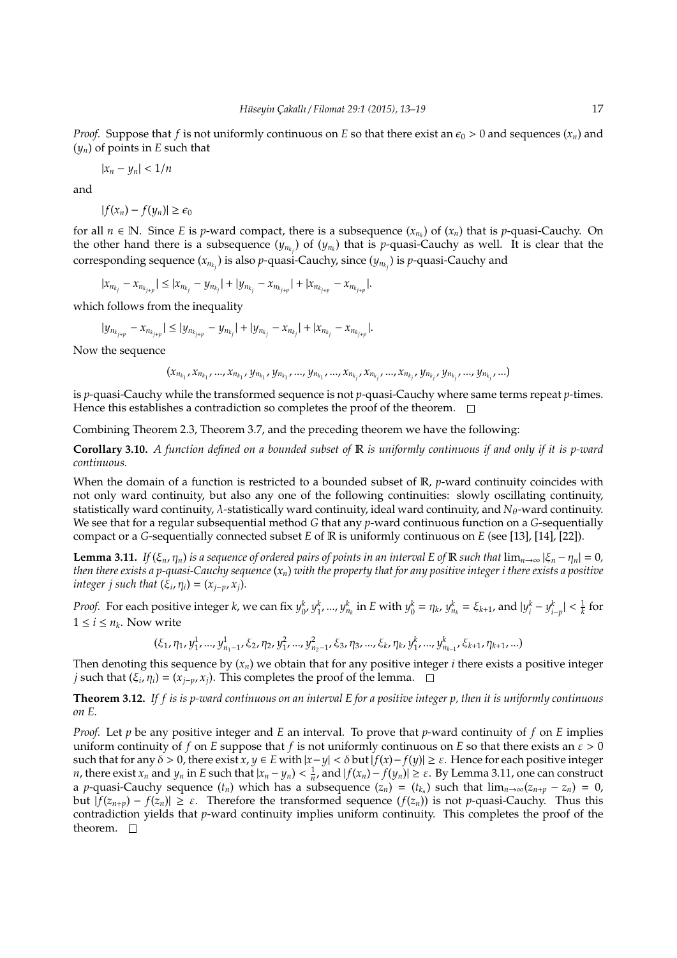*Proof.* Suppose that *f* is not uniformly continuous on *E* so that there exist an  $\epsilon_0 > 0$  and sequences  $(x_n)$  and  $(y_n)$  of points in *E* such that

$$
|x_n - y_n| < \frac{1}{n}
$$

and

$$
|f(x_n)-f(y_n)|\geq \epsilon_0
$$

for all  $n \in \mathbb{N}$ . Since *E* is *p*-ward compact, there is a subsequence  $(x_{n_k})$  of  $(x_n)$  that is *p*-quasi-Cauchy. On the other hand there is a subsequence  $(y_{n_{k_j}})$  of  $(y_{n_k})$  that is p-quasi-Cauchy as well. It is clear that the corresponding sequence  $(x_{n_{k_j}})$  is also  $p$ -quasi-Cauchy, since  $(y_{n_{k_j}})$  is  $p$ -quasi-Cauchy and

 $|x_{n_{k_j}} - x_{n_{k_{j+p}}}| \le |x_{n_{k_j}} - y_{n_{k_j}}| + |y_{n_{k_j}} - x_{n_{k_{j+p}}}| + |x_{n_{k_{j+p}}} - x_{n_{k_{j+p}}}|.$ 

which follows from the inequality

$$
|y_{n_{k_{j+p}}}-x_{n_{k_{j+p}}}| \leq |y_{n_{k_{j+p}}}-y_{n_{k_{j}}}|+|y_{n_{k_{j}}}-x_{n_{k_{j}}}|+|x_{n_{k_{j}}}-x_{n_{k_{j+p}}}|.
$$

Now the sequence

 $(x_{n_{k_1}},x_{n_{k_1}},...,x_{n_{k_1}},y_{n_{k_1}},y_{n_{k_1}},...,y_{n_{k_1}},...,x_{n_{k_j}},x_{n_{k_j}},...,x_{n_{k_j}},y_{n_{k_j}},y_{n_{k_j}},...,y_{n_{k_j}},...)$ 

is *p*-quasi-Cauchy while the transformed sequence is not *p*-quasi-Cauchy where same terms repeat *p*-times. Hence this establishes a contradiction so completes the proof of the theorem.  $\Box$ 

Combining Theorem 2.3, Theorem 3.7, and the preceding theorem we have the following:

**Corollary 3.10.** *A function defined on a bounded subset of* R *is uniformly continuous if and only if it is p-ward continuous.*

When the domain of a function is restricted to a bounded subset of R, *p*-ward continuity coincides with not only ward continuity, but also any one of the following continuities: slowly oscillating continuity, statistically ward continuity, λ-statistically ward continuity, ideal ward continuity, and *N*θ-ward continuity. We see that for a regular subsequential method *G* that any *p*-ward continuous function on a *G*-sequentially compact or a *G*-sequentially connected subset *E* of R is uniformly continuous on *E* (see [13], [14], [22]).

**Lemma 3.11.** *If* ( $\xi_n$ ,  $\eta_n$ ) *is a sequence of ordered pairs of points in an interval E of* R *such that*  $\lim_{n\to\infty} |\xi_n - \eta_n| = 0$ , *then there exists a p-quasi-Cauchy sequence* (*xn*) *with the property that for any positive integer i there exists a positive integer j such that*  $(\xi_i, \eta_i) = (x_{j-p}, x_j)$ *.* 

*Proof.* For each positive integer k, we can fix  $y_0^k$ ,  $y_1^k$ , ...,  $y_{n_k}^k$  in E with  $y_0^k = \eta_k$ ,  $y_{n_k}^k = \xi_{k+1}$ , and  $|y_i^k - y_{i-p}^k| < \frac{1}{k}$  for  $1 \leq i \leq n_k$ . Now write

$$
(\xi_1, \eta_1, y_1^1, ..., y_{n_1-1}^1, \xi_2, \eta_2, y_1^2, ..., y_{n_2-1}^2, \xi_3, \eta_3, ..., \xi_k, \eta_k, y_1^k, ..., y_{n_{k-1}}^k, \xi_{k+1}, \eta_{k+1}, ...)
$$

Then denoting this sequence by  $(x_n)$  we obtain that for any positive integer *i* there exists a positive integer *j* such that ( $\xi_i$ ,  $\eta_i$ ) = ( $x_{j-p}$ ,  $x_j$ ). This completes the proof of the lemma.

**Theorem 3.12.** *If f is is p-ward continuous on an interval E for a positive integer p, then it is uniformly continuous on E.*

*Proof.* Let *p* be any positive integer and *E* an interval. To prove that *p*-ward continuity of *f* on *E* implies uniform continuity of *f* on *E* suppose that *f* is not uniformly continuous on *E* so that there exists an  $\varepsilon > 0$ such that for any  $\delta > 0$ , there exist  $x, y \in E$  with  $|x-y| < \delta$  but  $|f(x)-f(y)| \ge \varepsilon$ . Hence for each positive integer *n*, there exist  $x_n$  and  $y_n$  in E such that  $|x_n - y_n| < \frac{1}{n}$ , and  $|f(x_n) - f(y_n)| \ge \varepsilon$ . By Lemma 3.11, one can construct a *p*-quasi-Cauchy sequence  $(t_n)$  which has a subsequence  $(z_n) = (t_{k_n})$  such that  $\lim_{n\to\infty}(z_{n+p} - z_n) = 0$ , but | *f*(*z<sup>n</sup>*+*<sup>p</sup>*) − *f*(*zn*)| ≥ ε. Therefore the transformed sequence (*f*(*zn*)) is not *p*-quasi-Cauchy. Thus this contradiction yields that *p*-ward continuity implies uniform continuity. This completes the proof of the theorem.  $\square$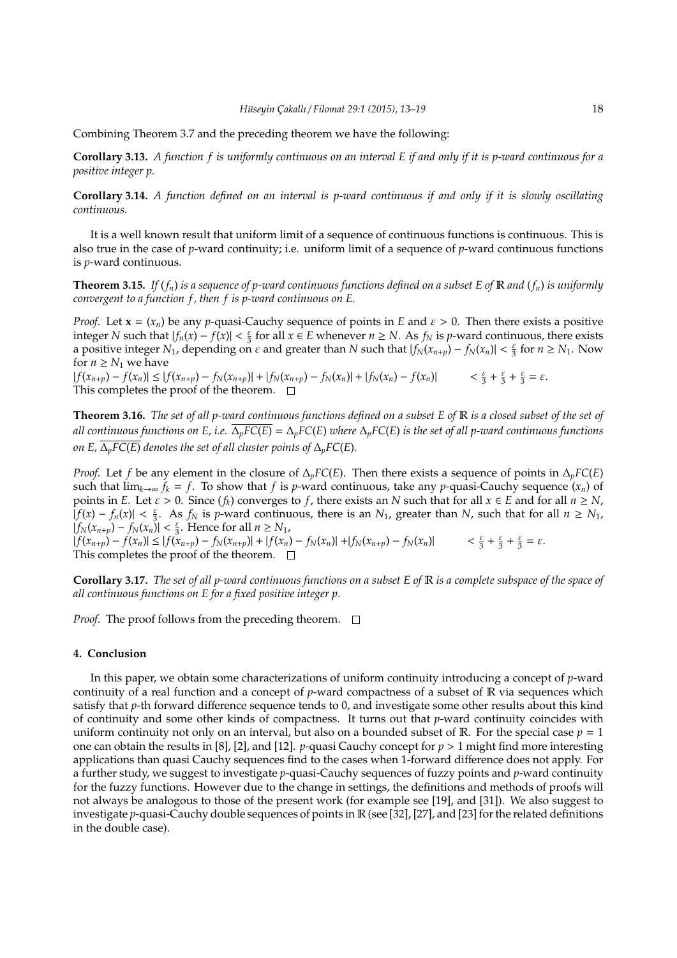Combining Theorem 3.7 and the preceding theorem we have the following:

**Corollary 3.13.** *A function f is uniformly continuous on an interval E if and only if it is p-ward continuous for a positive integer p.*

**Corollary 3.14.** *A function defined on an interval is p-ward continuous if and only if it is slowly oscillating continuous.*

It is a well known result that uniform limit of a sequence of continuous functions is continuous. This is also true in the case of *p*-ward continuity; i.e. uniform limit of a sequence of *p*-ward continuous functions is *p*-ward continuous.

**Theorem 3.15.** *If* (*fn*) *is a sequence of p-ward continuous functions defined on a subset E of* R *and* (*fn*) *is uniformly convergent to a function f, then f is p-ward continuous on E.* 

*Proof.* Let  $\mathbf{x} = (x_n)$  be any *p*-quasi-Cauchy sequence of points in *E* and  $\varepsilon > 0$ . Then there exists a positive integer *N* such that  $|f_n(x) - f(x)| < \frac{\varepsilon}{3}$  for all *x* ∈ *E* whenever *n* ≥ *N*. As *f<sub>N</sub>* is *p*-ward continuous, there exists a positive integer  $N_1$ , depending on  $\varepsilon$  and greater than  $N$  such that  $|f_N(x_{n+p}) - f_N(x_n)| < \frac{\varepsilon}{3}$  for  $n \ge N_1$ . Now for  $n \geq N_1$  we have

 $|f(x_{n+p}) - f(x_n)| \le |f(x_{n+p}) - f_N(x_{n+p})| + |f_N(x_{n+p}) - f_N(x_n)| + |f_N(x_n) - f(x_n)|$  <  $\xi + \xi + \xi = \varepsilon$ . This completes the proof of the theorem.  $\square$ 

**Theorem 3.16.** *The set of all p-ward continuous functions defined on a subset E of* R *is a closed subset of the set of all continuous functions on E, i.e.*  $\overline{\Delta_pFC(E)} = \Delta_pFC(E)$  where  $\Delta_pFC(E)$  is the set of all p-ward continuous functions *on E,*  $\overline{\Delta_pFC(E)}$  *denotes the set of all cluster points of*  $\Delta_pFC(E)$ *.* 

*Proof.* Let *f* be any element in the closure of  $\Delta_p$ *FC*(*E*). Then there exists a sequence of points in  $\Delta_p$ *FC*(*E*) such that  $\lim_{k\to\infty} f_k = f$ . To show that *f* is *p*-ward continuous, take any *p*-quasi-Cauchy sequence  $(x_n)$  of points in *E*. Let  $\varepsilon > 0$ . Since  $(f_k)$  converges to *f*, there exists an *N* such that for all  $x \in E$  and for all  $n \ge N$ ,  $|f(x) - f_n(x)| < \frac{\varepsilon}{3}$ . As  $f_N$  is *p*-ward continuous, there is an  $N_1$ , greater than  $N$ , such that for all  $n \ge N_1$ ,  $|f_N(x_{n+p}) - f_N(x_n)| < \frac{\varepsilon}{3}$ . Hence for all *n* ≥ *N*<sub>1</sub>,

 $|f(x_{n+p}) - f(x_n)| \le |f(x_{n+p}) - f_N(x_{n+p})| + |f(x_n) - f_N(x_n)| + |f_N(x_{n+p}) - f_N(x_n)|$  <  $\xi + \xi + \xi = \varepsilon$ . This completes the proof of the theorem.  $\Box$ 

**Corollary 3.17.** *The set of all p-ward continuous functions on a subset E of* R *is a complete subspace of the space of all continuous functions on E for a fixed positive integer p.*

*Proof.* The proof follows from the preceding theorem.  $\Box$ 

## **4. Conclusion**

In this paper, we obtain some characterizations of uniform continuity introducing a concept of *p*-ward continuity of a real function and a concept of *p*-ward compactness of a subset of R via sequences which satisfy that *p*-th forward difference sequence tends to 0, and investigate some other results about this kind of continuity and some other kinds of compactness. It turns out that *p*-ward continuity coincides with uniform continuity not only on an interval, but also on a bounded subset of R. For the special case  $p = 1$ one can obtain the results in [8], [2], and [12]. *p*-quasi Cauchy concept for  $p > 1$  might find more interesting applications than quasi Cauchy sequences find to the cases when 1-forward difference does not apply. For a further study, we suggest to investigate *p*-quasi-Cauchy sequences of fuzzy points and *p*-ward continuity for the fuzzy functions. However due to the change in settings, the definitions and methods of proofs will not always be analogous to those of the present work (for example see [19], and [31]). We also suggest to investigate *p*-quasi-Cauchy double sequences of points in R (see [32], [27], and [23] for the related definitions in the double case).